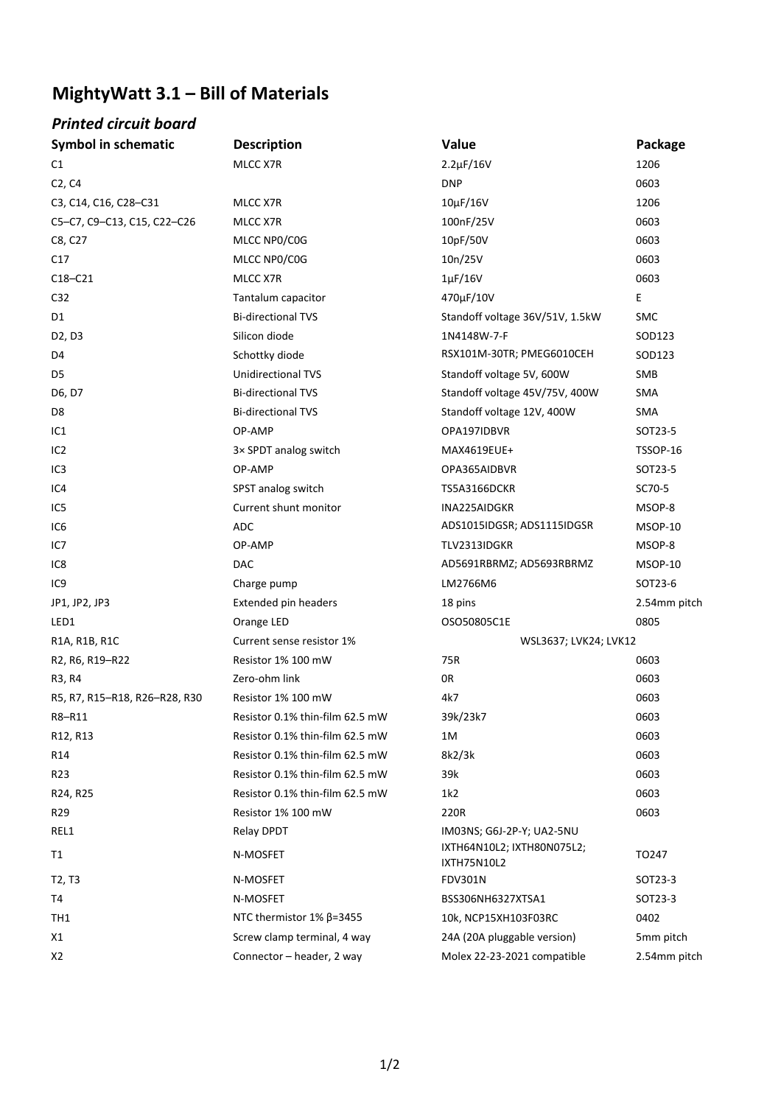## **MightyWatt 3.1 – Bill of Materials**

## *Printed circuit board*

| <b>Symbol in schematic</b>      | <b>Description</b>                 | Value                                     | Package      |
|---------------------------------|------------------------------------|-------------------------------------------|--------------|
| C1                              | MLCC X7R                           | $2.2 \mu F / 16V$                         | 1206         |
| C2, C4                          |                                    | <b>DNP</b>                                | 0603         |
| C3, C14, C16, C28-C31           | MLCC X7R                           | $10\mu$ F/16V                             | 1206         |
| C5-C7, C9-C13, C15, C22-C26     | MLCC X7R                           | 100nF/25V                                 | 0603         |
| C8, C27                         | MLCC NP0/C0G                       | 10pF/50V                                  | 0603         |
| C17                             | MLCC NP0/C0G                       | 10n/25V                                   | 0603         |
| $C18-C21$                       | MLCC X7R                           | $1\mu$ F/16V                              | 0603         |
| C32                             | Tantalum capacitor                 | 470µF/10V                                 | E            |
| D1                              | <b>Bi-directional TVS</b>          | Standoff voltage 36V/51V, 1.5kW           | <b>SMC</b>   |
| D2, D3                          | Silicon diode                      | 1N4148W-7-F                               | SOD123       |
| D4                              | Schottky diode                     | RSX101M-30TR; PMEG6010CEH                 | SOD123       |
| D5                              | <b>Unidirectional TVS</b>          | Standoff voltage 5V, 600W                 | SMB          |
| D6, D7                          | <b>Bi-directional TVS</b>          | Standoff voltage 45V/75V, 400W            | <b>SMA</b>   |
| D <sub>8</sub>                  | <b>Bi-directional TVS</b>          | Standoff voltage 12V, 400W                | SMA          |
| IC1                             | OP-AMP                             | OPA197IDBVR                               | SOT23-5      |
| IC <sub>2</sub>                 | 3× SPDT analog switch              | MAX4619EUE+                               | TSSOP-16     |
| IC <sub>3</sub>                 | OP-AMP                             | OPA365AIDBVR                              | SOT23-5      |
| IC4                             | SPST analog switch                 | TS5A3166DCKR                              | SC70-5       |
| IC5                             | Current shunt monitor              | INA225AIDGKR                              | MSOP-8       |
| IC <sub>6</sub>                 | ADC                                | ADS1015IDGSR; ADS1115IDGSR                | MSOP-10      |
| IC7                             | OP-AMP                             | TLV2313IDGKR                              | MSOP-8       |
| IC8                             | <b>DAC</b>                         | AD5691RBRMZ; AD5693RBRMZ                  | MSOP-10      |
| IC <sub>9</sub>                 | Charge pump                        | LM2766M6                                  | SOT23-6      |
| JP1, JP2, JP3                   | <b>Extended pin headers</b>        | 18 pins                                   | 2.54mm pitch |
| LED1                            | Orange LED                         | OSO50805C1E                               | 0805         |
| R1A, R1B, R1C                   | Current sense resistor 1%          | WSL3637; LVK24; LVK12                     |              |
| R2, R6, R19-R22                 | Resistor 1% 100 mW                 | 75R                                       | 0603         |
| R3, R4                          | Zero-ohm link                      | 0R                                        | 0603         |
| R5, R7, R15-R18, R26-R28, R30   | Resistor 1% 100 mW                 | 4k7                                       | 0603         |
| R8-R11                          | Resistor 0.1% thin-film 62.5 mW    | 39k/23k7                                  | 0603         |
| R12, R13                        | Resistor 0.1% thin-film 62.5 mW    | 1M                                        | 0603         |
| R14                             | Resistor 0.1% thin-film 62.5 mW    | 8k2/3k                                    | 0603         |
| R <sub>23</sub>                 | Resistor 0.1% thin-film 62.5 mW    | 39k                                       | 0603         |
| R24, R25                        | Resistor 0.1% thin-film 62.5 mW    | 1k2                                       | 0603         |
| R29                             | Resistor 1% 100 mW                 | 220R                                      | 0603         |
| REL1                            | Relay DPDT                         | IM03NS; G6J-2P-Y; UA2-5NU                 |              |
| T1                              | N-MOSFET                           | IXTH64N10L2; IXTH80N075L2;<br>IXTH75N10L2 | TO247        |
| T <sub>2</sub> , T <sub>3</sub> | N-MOSFET                           | <b>FDV301N</b>                            | SOT23-3      |
| T4                              | N-MOSFET                           | BSS306NH6327XTSA1                         | SOT23-3      |
| TH1                             | NTC thermistor $1\%$ $\beta$ =3455 | 10k, NCP15XH103F03RC                      | 0402         |
| X1                              | Screw clamp terminal, 4 way        | 24A (20A pluggable version)               | 5mm pitch    |
| X2                              | Connector - header, 2 way          | Molex 22-23-2021 compatible               | 2.54mm pitch |